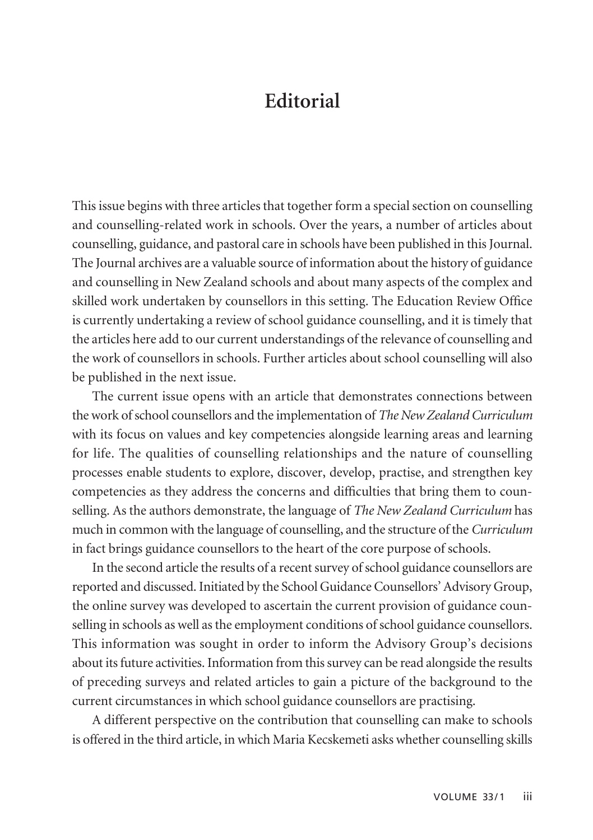## **Editorial**

This issue begins with three articles that together form a special section on counselling and counselling-related work in schools. Over the years, a number of articles about counselling, guidance, and pastoral care in schools have been published in this Journal. The Journal archives are a valuable source of information about the history of guidance and counselling in New Zealand schools and about many aspects of the complex and skilled work undertaken by counsellors in this setting. The Education Review Office is currently undertaking a review of school guidance counselling, and it is timely that the articles here add to our current understandings of the relevance of counselling and the work of counsellors in schools. Further articles about school counselling will also be published in the next issue.

The current issue opens with an article that demonstrates connections between the work of school counsellors and the implementation of *The New Zealand Curriculum* with its focus on values and key competencies alongside learning areas and learning for life. The qualities of counselling relationships and the nature of counselling processes enable students to explore, discover, develop, practise, and strengthen key competencies as they address the concerns and difficulties that bring them to counselling. As the authors demonstrate, the language of *The New Zealand Curriculum* has much in common with the language of counselling, and the structure of the *Curriculum* in fact brings guidance counsellors to the heart of the core purpose of schools.

In the second article the results of a recent survey of school guidance counsellors are reported and discussed. Initiated by the School Guidance Counsellors' Advisory Group, the online survey was developed to ascertain the current provision of guidance counselling in schools as well as the employment conditions of school guidance counsellors. This information was sought in order to inform the Advisory Group's decisions about its future activities. Information from this survey can be read alongside the results of preceding surveys and related articles to gain a picture of the background to the current circumstances in which school guidance counsellors are practising.

A different perspective on the contribution that counselling can make to schools is offered in the third article, in which Maria Kecskemeti asks whether counselling skills